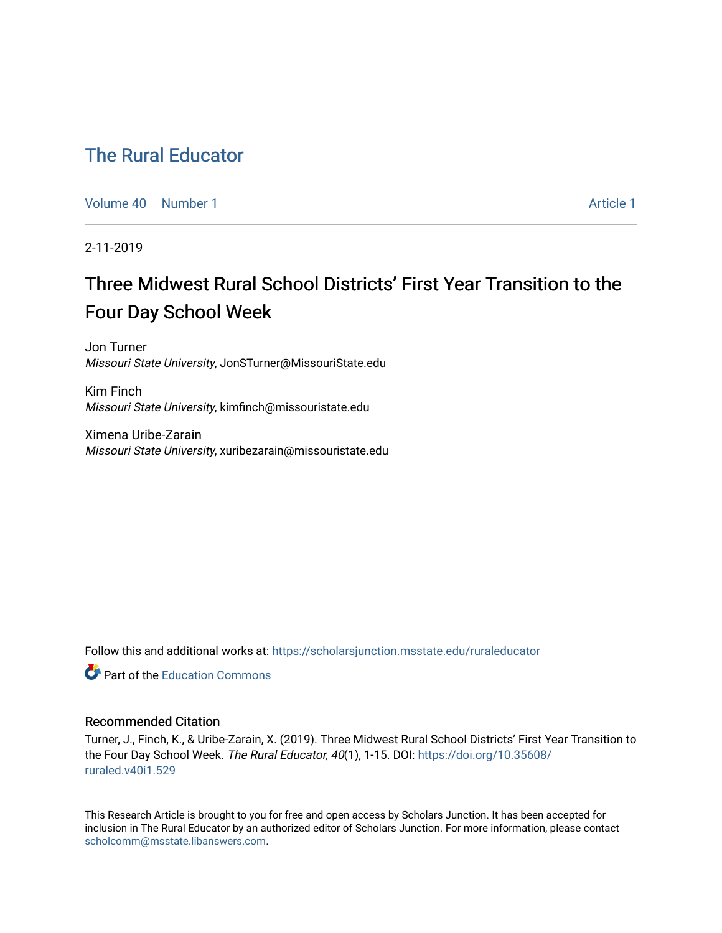# [The Rural Educator](https://scholarsjunction.msstate.edu/ruraleducator)

[Volume 40](https://scholarsjunction.msstate.edu/ruraleducator/vol40) [Number 1](https://scholarsjunction.msstate.edu/ruraleducator/vol40/iss1) [Article 1](https://scholarsjunction.msstate.edu/ruraleducator/vol40/iss1/1) Article 1 Article 1 Article 1 Article 1 Article 1 Article 1

2-11-2019

# Three Midwest Rural School Districts' First Year Transition to the Four Day School Week

Jon Turner Missouri State University, JonSTurner@MissouriState.edu

Kim Finch Missouri State University, kimfinch@missouristate.edu

Ximena Uribe-Zarain Missouri State University, xuribezarain@missouristate.edu

Follow this and additional works at: [https://scholarsjunction.msstate.edu/ruraleducator](https://scholarsjunction.msstate.edu/ruraleducator?utm_source=scholarsjunction.msstate.edu%2Fruraleducator%2Fvol40%2Fiss1%2F1&utm_medium=PDF&utm_campaign=PDFCoverPages)

**C** Part of the [Education Commons](http://network.bepress.com/hgg/discipline/784?utm_source=scholarsjunction.msstate.edu%2Fruraleducator%2Fvol40%2Fiss1%2F1&utm_medium=PDF&utm_campaign=PDFCoverPages)

### Recommended Citation

Turner, J., Finch, K., & Uribe-Zarain, X. (2019). Three Midwest Rural School Districts' First Year Transition to the Four Day School Week. The Rural Educator, 40(1), 1-15. DOI: [https://doi.org/10.35608/](https://doi.org/10.35608/ruraled.v40i1.529) [ruraled.v40i1.529](https://doi.org/10.35608/ruraled.v40i1.529)

This Research Article is brought to you for free and open access by Scholars Junction. It has been accepted for inclusion in The Rural Educator by an authorized editor of Scholars Junction. For more information, please contact [scholcomm@msstate.libanswers.com.](mailto:scholcomm@msstate.libanswers.com)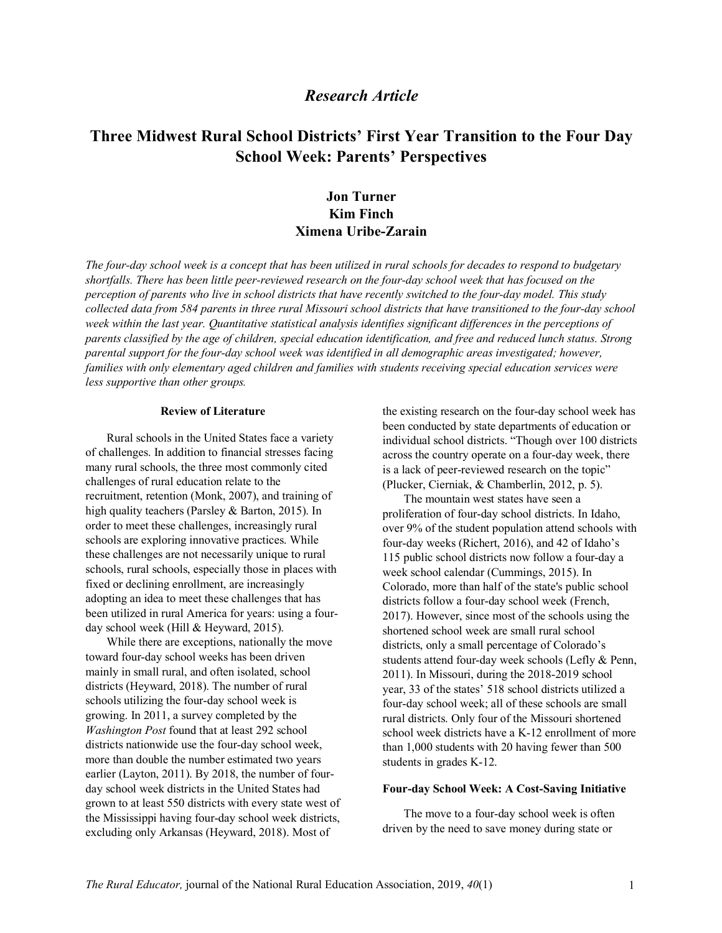# *Research Article*

# **Three Midwest Rural School Districts' First Year Transition to the Four Day School Week: Parents' Perspectives**

# **Jon Turner Kim Finch Ximena Uribe-Zarain**

*The four-day school week is a concept that has been utilized in rural schools for decades to respond to budgetary shortfalls. There has been little peer-reviewed research on the four-day school week that has focused on the perception of parents who live in school districts that have recently switched to the four-day model. This study collected data from 584 parents in three rural Missouri school districts that have transitioned to the four-day school week within the last year. Quantitative statistical analysis identifies significant differences in the perceptions of parents classified by the age of children, special education identification, and free and reduced lunch status. Strong parental support for the four-day school week was identified in all demographic areas investigated; however, families with only elementary aged children and families with students receiving special education services were less supportive than other groups.*

#### **Review of Literature**

Rural schools in the United States face a variety of challenges. In addition to financial stresses facing many rural schools, the three most commonly cited challenges of rural education relate to the recruitment, retention (Monk, 2007), and training of high quality teachers (Parsley & Barton, 2015). In order to meet these challenges, increasingly rural schools are exploring innovative practices. While these challenges are not necessarily unique to rural schools, rural schools, especially those in places with fixed or declining enrollment, are increasingly adopting an idea to meet these challenges that has been utilized in rural America for years: using a fourday school week (Hill & Heyward, 2015).

While there are exceptions, nationally the move toward four-day school weeks has been driven mainly in small rural, and often isolated, school districts (Heyward, 2018). The number of rural schools utilizing the four-day school week is growing. In 2011, a survey completed by the *Washington Post* found that at least 292 school districts nationwide use the four-day school week, more than double the number estimated two years earlier (Layton, 2011). By 2018, the number of fourday school week districts in the United States had grown to at least 550 districts with every state west of the Mississippi having four-day school week districts, excluding only Arkansas (Heyward, 2018). Most of

the existing research on the four-day school week has been conducted by state departments of education or individual school districts. "Though over 100 districts across the country operate on a four-day week, there is a lack of peer-reviewed research on the topic" (Plucker, Cierniak, & Chamberlin, 2012, p. 5).

The mountain west states have seen a proliferation of four-day school districts. In Idaho, over 9% of the student population attend schools with four-day weeks (Richert, 2016), and 42 of Idaho's 115 public school districts now follow a four-day a week school calendar (Cummings, 2015). In Colorado, more than half of the state's public school districts follow a four-day school week (French, 2017). However, since most of the schools using the shortened school week are small rural school districts, only a small percentage of Colorado's students attend four-day week schools (Lefly & Penn, 2011). In Missouri, during the 2018-2019 school year, 33 of the states' 518 school districts utilized a four-day school week; all of these schools are small rural districts. Only four of the Missouri shortened school week districts have a K-12 enrollment of more than 1,000 students with 20 having fewer than 500 students in grades K-12.

#### **Four-day School Week: A Cost-Saving Initiative**

The move to a four-day school week is often driven by the need to save money during state or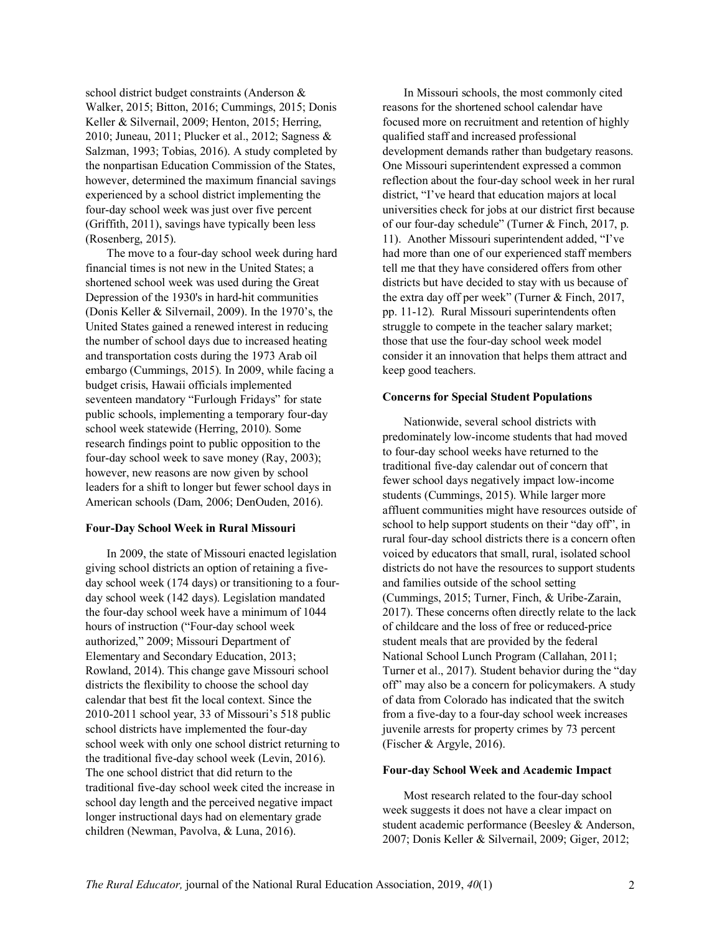school district budget constraints (Anderson & Walker, 2015; Bitton, 2016; Cummings, 2015; Donis Keller & Silvernail, 2009; Henton, 2015; Herring, 2010; Juneau, 2011; Plucker et al., 2012; Sagness & Salzman, 1993; Tobias, 2016). A study completed by the nonpartisan Education Commission of the States, however, determined the maximum financial savings experienced by a school district implementing the four-day school week was just over five percent (Griffith, 2011), savings have typically been less (Rosenberg, 2015).

The move to a four-day school week during hard financial times is not new in the United States; a shortened school week was used during the Great Depression of the 1930's in hard-hit communities (Donis Keller & Silvernail, 2009). In the 1970's, the United States gained a renewed interest in reducing the number of school days due to increased heating and transportation costs during the 1973 Arab oil embargo (Cummings, 2015). In 2009, while facing a budget crisis, Hawaii officials implemented seventeen mandatory "Furlough Fridays" for state public schools, implementing a temporary four-day school week statewide (Herring, 2010). Some research findings point to public opposition to the four-day school week to save money (Ray, 2003); however, new reasons are now given by school leaders for a shift to longer but fewer school days in American schools (Dam, 2006; DenOuden, 2016).

#### **Four-Day School Week in Rural Missouri**

In 2009, the state of Missouri enacted legislation giving school districts an option of retaining a fiveday school week (174 days) or transitioning to a fourday school week (142 days). Legislation mandated the four-day school week have a minimum of 1044 hours of instruction ("Four-day school week authorized," 2009; Missouri Department of Elementary and Secondary Education, 2013; Rowland, 2014). This change gave Missouri school districts the flexibility to choose the school day calendar that best fit the local context. Since the 2010-2011 school year, 33 of Missouri's 518 public school districts have implemented the four-day school week with only one school district returning to the traditional five-day school week (Levin, 2016). The one school district that did return to the traditional five-day school week cited the increase in school day length and the perceived negative impact longer instructional days had on elementary grade children (Newman, Pavolva, & Luna, 2016).

In Missouri schools, the most commonly cited reasons for the shortened school calendar have focused more on recruitment and retention of highly qualified staff and increased professional development demands rather than budgetary reasons. One Missouri superintendent expressed a common reflection about the four-day school week in her rural district, "I've heard that education majors at local universities check for jobs at our district first because of our four-day schedule" (Turner & Finch, 2017, p. 11). Another Missouri superintendent added, "I've had more than one of our experienced staff members tell me that they have considered offers from other districts but have decided to stay with us because of the extra day off per week" (Turner & Finch, 2017, pp. 11-12). Rural Missouri superintendents often struggle to compete in the teacher salary market; those that use the four-day school week model consider it an innovation that helps them attract and keep good teachers.

#### **Concerns for Special Student Populations**

Nationwide, several school districts with predominately low-income students that had moved to four-day school weeks have returned to the traditional five-day calendar out of concern that fewer school days negatively impact low-income students (Cummings, 2015). While larger more affluent communities might have resources outside of school to help support students on their "day off", in rural four-day school districts there is a concern often voiced by educators that small, rural, isolated school districts do not have the resources to support students and families outside of the school setting (Cummings, 2015; Turner, Finch, & Uribe-Zarain, 2017). These concerns often directly relate to the lack of childcare and the loss of free or reduced-price student meals that are provided by the federal National School Lunch Program (Callahan, 2011; Turner et al., 2017). Student behavior during the "day off" may also be a concern for policymakers. A study of data from Colorado has indicated that the switch from a five-day to a four-day school week increases juvenile arrests for property crimes by 73 percent (Fischer & Argyle, 2016).

#### **Four-day School Week and Academic Impact**

Most research related to the four-day school week suggests it does not have a clear impact on student academic performance (Beesley & Anderson, 2007; Donis Keller & Silvernail, 2009; Giger, 2012;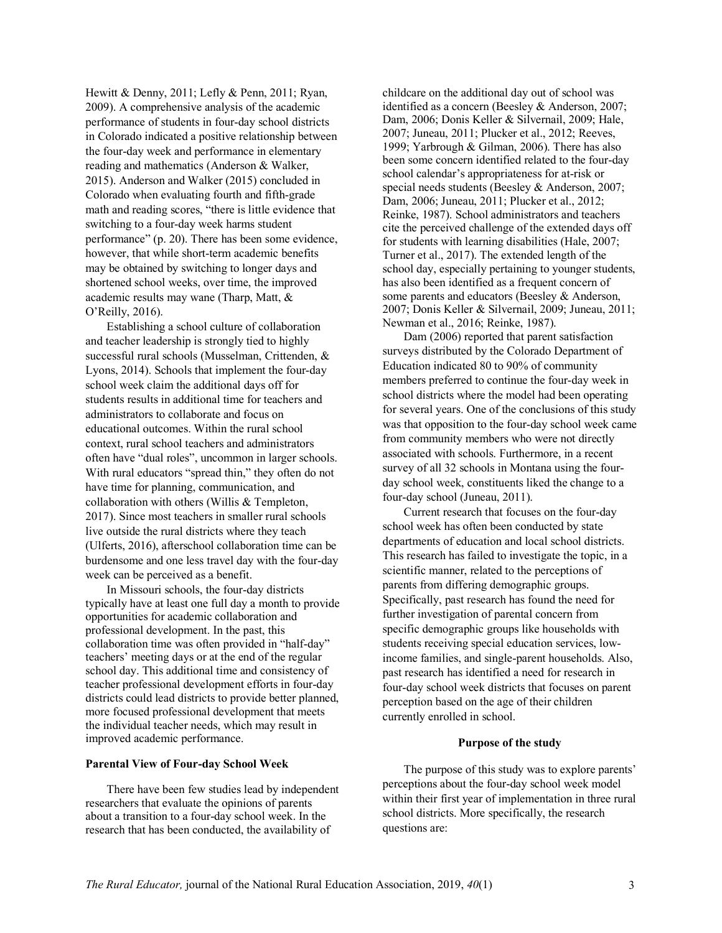Hewitt & Denny, 2011; Lefly & Penn, 2011; Ryan, 2009). A comprehensive analysis of the academic performance of students in four-day school districts in Colorado indicated a positive relationship between the four-day week and performance in elementary reading and mathematics (Anderson & Walker, 2015). Anderson and Walker (2015) concluded in Colorado when evaluating fourth and fifth-grade math and reading scores, "there is little evidence that switching to a four-day week harms student performance" (p. 20). There has been some evidence, however, that while short-term academic benefits may be obtained by switching to longer days and shortened school weeks, over time, the improved academic results may wane (Tharp, Matt, & O'Reilly, 2016).

Establishing a school culture of collaboration and teacher leadership is strongly tied to highly successful rural schools (Musselman, Crittenden, & Lyons, 2014). Schools that implement the four-day school week claim the additional days off for students results in additional time for teachers and administrators to collaborate and focus on educational outcomes. Within the rural school context, rural school teachers and administrators often have "dual roles", uncommon in larger schools. With rural educators "spread thin," they often do not have time for planning, communication, and collaboration with others (Willis & Templeton, 2017). Since most teachers in smaller rural schools live outside the rural districts where they teach (Ulferts, 2016), afterschool collaboration time can be burdensome and one less travel day with the four-day week can be perceived as a benefit.

In Missouri schools, the four-day districts typically have at least one full day a month to provide opportunities for academic collaboration and professional development. In the past, this collaboration time was often provided in "half-day" teachers' meeting days or at the end of the regular school day. This additional time and consistency of teacher professional development efforts in four-day districts could lead districts to provide better planned, more focused professional development that meets the individual teacher needs, which may result in improved academic performance.

#### **Parental View of Four-day School Week**

There have been few studies lead by independent researchers that evaluate the opinions of parents about a transition to a four-day school week. In the research that has been conducted, the availability of

childcare on the additional day out of school was identified as a concern (Beesley & Anderson, 2007; Dam, 2006; Donis Keller & Silvernail, 2009; Hale, 2007; Juneau, 2011; Plucker et al., 2012; Reeves, 1999; Yarbrough & Gilman, 2006). There has also been some concern identified related to the four-day school calendar's appropriateness for at-risk or special needs students (Beesley & Anderson, 2007; Dam, 2006; Juneau, 2011; Plucker et al., 2012; Reinke, 1987). School administrators and teachers cite the perceived challenge of the extended days off for students with learning disabilities (Hale, 2007; Turner et al., 2017). The extended length of the school day, especially pertaining to younger students, has also been identified as a frequent concern of some parents and educators (Beesley & Anderson, 2007; Donis Keller & Silvernail, 2009; Juneau, 2011; Newman et al., 2016; Reinke, 1987).

Dam (2006) reported that parent satisfaction surveys distributed by the Colorado Department of Education indicated 80 to 90% of community members preferred to continue the four-day week in school districts where the model had been operating for several years. One of the conclusions of this study was that opposition to the four-day school week came from community members who were not directly associated with schools. Furthermore, in a recent survey of all 32 schools in Montana using the fourday school week, constituents liked the change to a four-day school (Juneau, 2011).

Current research that focuses on the four-day school week has often been conducted by state departments of education and local school districts. This research has failed to investigate the topic, in a scientific manner, related to the perceptions of parents from differing demographic groups. Specifically, past research has found the need for further investigation of parental concern from specific demographic groups like households with students receiving special education services, lowincome families, and single-parent households. Also, past research has identified a need for research in four-day school week districts that focuses on parent perception based on the age of their children currently enrolled in school.

#### **Purpose of the study**

The purpose of this study was to explore parents' perceptions about the four-day school week model within their first year of implementation in three rural school districts. More specifically, the research questions are: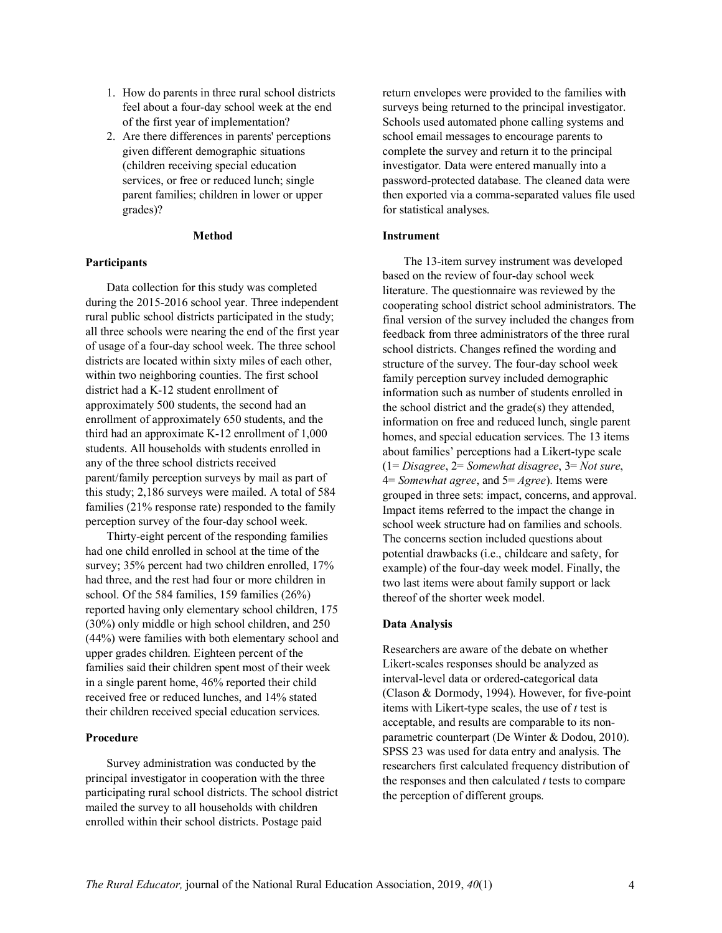- 1. How do parents in three rural school districts feel about a four-day school week at the end of the first year of implementation?
- 2. Are there differences in parents' perceptions given different demographic situations (children receiving special education services, or free or reduced lunch; single parent families; children in lower or upper grades)?

#### **Method**

#### **Participants**

Data collection for this study was completed during the 2015-2016 school year. Three independent rural public school districts participated in the study; all three schools were nearing the end of the first year of usage of a four-day school week. The three school districts are located within sixty miles of each other, within two neighboring counties. The first school district had a K-12 student enrollment of approximately 500 students, the second had an enrollment of approximately 650 students, and the third had an approximate K-12 enrollment of 1,000 students. All households with students enrolled in any of the three school districts received parent/family perception surveys by mail as part of this study; 2,186 surveys were mailed. A total of 584 families (21% response rate) responded to the family perception survey of the four-day school week.

Thirty-eight percent of the responding families had one child enrolled in school at the time of the survey; 35% percent had two children enrolled, 17% had three, and the rest had four or more children in school. Of the 584 families, 159 families (26%) reported having only elementary school children, 175 (30%) only middle or high school children, and 250 (44%) were families with both elementary school and upper grades children. Eighteen percent of the families said their children spent most of their week in a single parent home, 46% reported their child received free or reduced lunches, and 14% stated their children received special education services.

#### **Procedure**

Survey administration was conducted by the principal investigator in cooperation with the three participating rural school districts. The school district mailed the survey to all households with children enrolled within their school districts. Postage paid

return envelopes were provided to the families with surveys being returned to the principal investigator. Schools used automated phone calling systems and school email messages to encourage parents to complete the survey and return it to the principal investigator. Data were entered manually into a password-protected database. The cleaned data were then exported via a comma-separated values file used for statistical analyses.

#### **Instrument**

The 13-item survey instrument was developed based on the review of four-day school week literature. The questionnaire was reviewed by the cooperating school district school administrators. The final version of the survey included the changes from feedback from three administrators of the three rural school districts. Changes refined the wording and structure of the survey. The four-day school week family perception survey included demographic information such as number of students enrolled in the school district and the grade(s) they attended, information on free and reduced lunch, single parent homes, and special education services. The 13 items about families' perceptions had a Likert-type scale (1= *Disagree*, 2= *Somewhat disagree*, 3= *Not sure*, 4= *Somewhat agree*, and 5= *Agree*). Items were grouped in three sets: impact, concerns, and approval. Impact items referred to the impact the change in school week structure had on families and schools. The concerns section included questions about potential drawbacks (i.e., childcare and safety, for example) of the four-day week model. Finally, the two last items were about family support or lack thereof of the shorter week model.

#### **Data Analysis**

Researchers are aware of the debate on whether Likert-scales responses should be analyzed as interval-level data or ordered-categorical data (Clason & Dormody, 1994). However, for five-point items with Likert-type scales, the use of *t* test is acceptable, and results are comparable to its nonparametric counterpart (De Winter & Dodou, 2010). SPSS 23 was used for data entry and analysis. The researchers first calculated frequency distribution of the responses and then calculated *t* tests to compare the perception of different groups.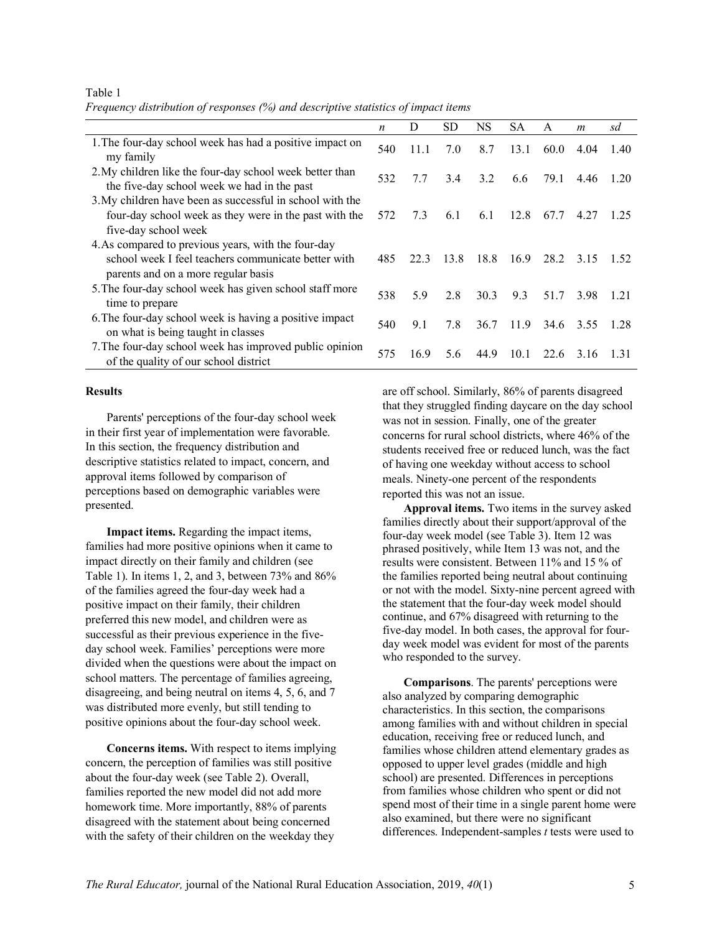|                                                                                                                                                   | n   | D    | SD   | NS   | SА   | A    | $\boldsymbol{m}$ | sd    |  |  |
|---------------------------------------------------------------------------------------------------------------------------------------------------|-----|------|------|------|------|------|------------------|-------|--|--|
| 1. The four-day school week has had a positive impact on<br>my family                                                                             | 540 | 11.1 | 7.0  | 8.7  | 13.1 | 60.0 | 4.04             | 1.40  |  |  |
| 2. My children like the four-day school week better than<br>the five-day school week we had in the past                                           | 532 | 77   | 3.4  | 3.2  | 6.6  | 79.1 | 4.46 1.20        |       |  |  |
| 3. My children have been as successful in school with the<br>four-day school week as they were in the past with the<br>five-day school week       | 572 | 7.3  | 6.1  | 6.1  | 12.8 | 67.7 | 4.27             | 1 25  |  |  |
| 4. As compared to previous years, with the four-day<br>school week I feel teachers communicate better with<br>parents and on a more regular basis | 485 | 22.3 | 13.8 | 18.8 | 16.9 | 28.2 | 3.15             | 1.52  |  |  |
| 5. The four-day school week has given school staff more<br>time to prepare                                                                        | 538 | 5.9  | 2.8  | 30.3 | 9.3  | 51.7 | 3.98             | 1.21  |  |  |
| 6. The four-day school week is having a positive impact<br>on what is being taught in classes                                                     | 540 | 9.1  | 7.8  | 36.7 | 11.9 | 34.6 | 3.55             | 1.28  |  |  |
| 7. The four-day school week has improved public opinion<br>of the quality of our school district                                                  | 575 | 16.9 | 5.6  | 44.9 | 10.1 | 22.6 | 3.16             | -1.31 |  |  |

*Frequency distribution of responses (%) and descriptive statistics of impact items*

#### **Results**

Table 1

Parents' perceptions of the four-day school week in their first year of implementation were favorable. In this section, the frequency distribution and descriptive statistics related to impact, concern, and approval items followed by comparison of perceptions based on demographic variables were presented.

**Impact items.** Regarding the impact items, families had more positive opinions when it came to impact directly on their family and children (see Table 1). In items 1, 2, and 3, between 73% and 86% of the families agreed the four-day week had a positive impact on their family, their children preferred this new model, and children were as successful as their previous experience in the fiveday school week. Families' perceptions were more divided when the questions were about the impact on school matters. The percentage of families agreeing, disagreeing, and being neutral on items 4, 5, 6, and 7 was distributed more evenly, but still tending to positive opinions about the four-day school week.

**Concerns items.** With respect to items implying concern, the perception of families was still positive about the four-day week (see Table 2). Overall, families reported the new model did not add more homework time. More importantly, 88% of parents disagreed with the statement about being concerned with the safety of their children on the weekday they

are off school. Similarly, 86% of parents disagreed that they struggled finding daycare on the day school was not in session. Finally, one of the greater concerns for rural school districts, where 46% of the students received free or reduced lunch, was the fact of having one weekday without access to school meals. Ninety-one percent of the respondents reported this was not an issue.

**Approval items.** Two items in the survey asked families directly about their support/approval of the four-day week model (see Table 3). Item 12 was phrased positively, while Item 13 was not, and the results were consistent. Between 11% and 15 % of the families reported being neutral about continuing or not with the model. Sixty-nine percent agreed with the statement that the four-day week model should continue, and 67% disagreed with returning to the five-day model. In both cases, the approval for fourday week model was evident for most of the parents who responded to the survey.

**Comparisons**. The parents' perceptions were also analyzed by comparing demographic characteristics. In this section, the comparisons among families with and without children in special education, receiving free or reduced lunch, and families whose children attend elementary grades as opposed to upper level grades (middle and high school) are presented. Differences in perceptions from families whose children who spent or did not spend most of their time in a single parent home were also examined, but there were no significant differences. Independent-samples *t* tests were used to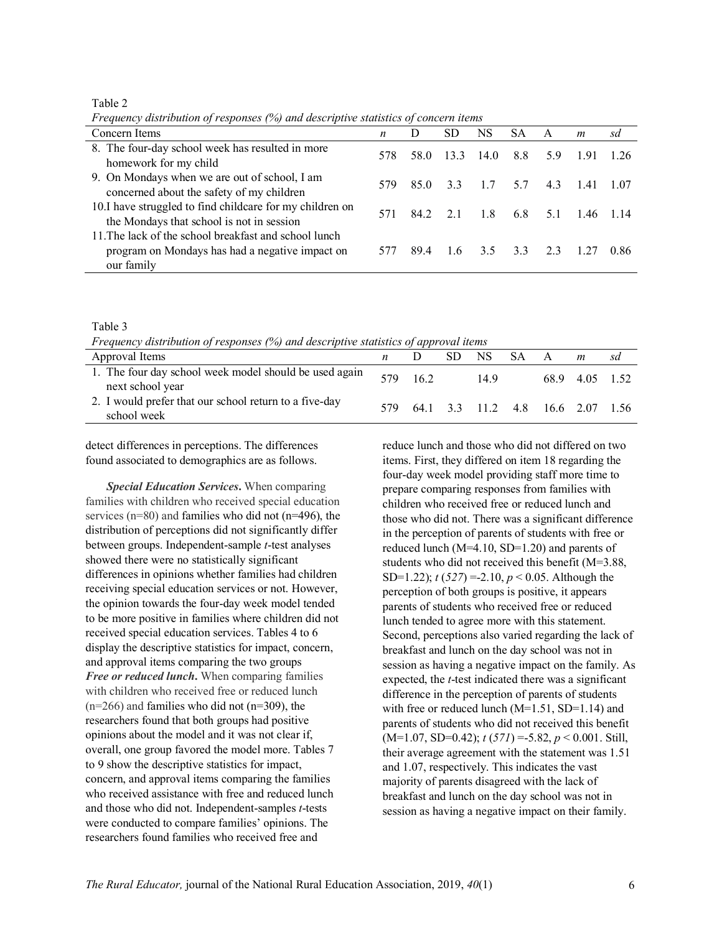Table 2

*Frequency distribution of responses (%) and descriptive statistics of concern items*

| Concern Items                                                                                                          | $\boldsymbol{n}$ | D    | SD.          | NS   | <b>SA</b> | A   | $\boldsymbol{m}$ | sd    |
|------------------------------------------------------------------------------------------------------------------------|------------------|------|--------------|------|-----------|-----|------------------|-------|
| 8. The four-day school week has resulted in more<br>homework for my child                                              | 578              | 58.0 | 133          | 14.0 | 8.8       | 5.9 | 191              | -1.26 |
| 9. On Mondays when we are out of school, I am<br>concerned about the safety of my children                             | 579              | 85.0 | 33           | 1.7  | 5.7       | 4.3 | 141              | -1.07 |
| 10.I have struggled to find childcare for my children on<br>the Mondays that school is not in session                  | 571              |      | 84.2 2.1 1.8 |      | 6.8       | 5.1 | 146 114          |       |
| 11. The lack of the school breakfast and school lunch<br>program on Mondays has had a negative impact on<br>our family | 577              | 894  | 16           | 35   | 33        | 23  |                  | 0.86  |

#### Table 3

*Frequency distribution of responses (%) and descriptive statistics of approval items*

| Approval Items                                                             | $\mathbf{n}$ |     | SD. | NS SA | A                                |                | sd |
|----------------------------------------------------------------------------|--------------|-----|-----|-------|----------------------------------|----------------|----|
| 1. The four day school week model should be used again<br>next school year | 579          | 162 |     | 149   |                                  | 68.9 4.05 1.52 |    |
| 2. I would prefer that our school return to a five-day<br>school week      | 579.         |     |     |       | 64.1 3.3 11.2 4.8 16.6 2.07 1.56 |                |    |
|                                                                            |              |     |     |       |                                  |                |    |

detect differences in perceptions. The differences found associated to demographics are as follows.

*Special Education Services***.** When comparing families with children who received special education services (n=80) and families who did not (n=496), the distribution of perceptions did not significantly differ between groups. Independent-sample *t*-test analyses showed there were no statistically significant differences in opinions whether families had children receiving special education services or not. However, the opinion towards the four-day week model tended to be more positive in families where children did not received special education services. Tables 4 to 6 display the descriptive statistics for impact, concern, and approval items comparing the two groups *Free or reduced lunch***.** When comparing families with children who received free or reduced lunch  $(n=266)$  and families who did not  $(n=309)$ , the researchers found that both groups had positive opinions about the model and it was not clear if, overall, one group favored the model more. Tables 7 to 9 show the descriptive statistics for impact, concern, and approval items comparing the families who received assistance with free and reduced lunch and those who did not. Independent-samples *t*-tests were conducted to compare families' opinions. The researchers found families who received free and

reduce lunch and those who did not differed on two items. First, they differed on item 18 regarding the four-day week model providing staff more time to prepare comparing responses from families with children who received free or reduced lunch and those who did not. There was a significant difference in the perception of parents of students with free or reduced lunch (M=4.10, SD=1.20) and parents of students who did not received this benefit (M=3.88, SD=1.22); *t* (*527*) =-2.10, *p* < 0.05. Although the perception of both groups is positive, it appears parents of students who received free or reduced lunch tended to agree more with this statement. Second, perceptions also varied regarding the lack of breakfast and lunch on the day school was not in session as having a negative impact on the family. As expected, the *t*-test indicated there was a significant difference in the perception of parents of students with free or reduced lunch  $(M=1.51, SD=1.14)$  and parents of students who did not received this benefit (M=1.07, SD=0.42); *t* (*571*) =-5.82, *p* < 0.001. Still, their average agreement with the statement was 1.51 and 1.07, respectively. This indicates the vast majority of parents disagreed with the lack of breakfast and lunch on the day school was not in session as having a negative impact on their family.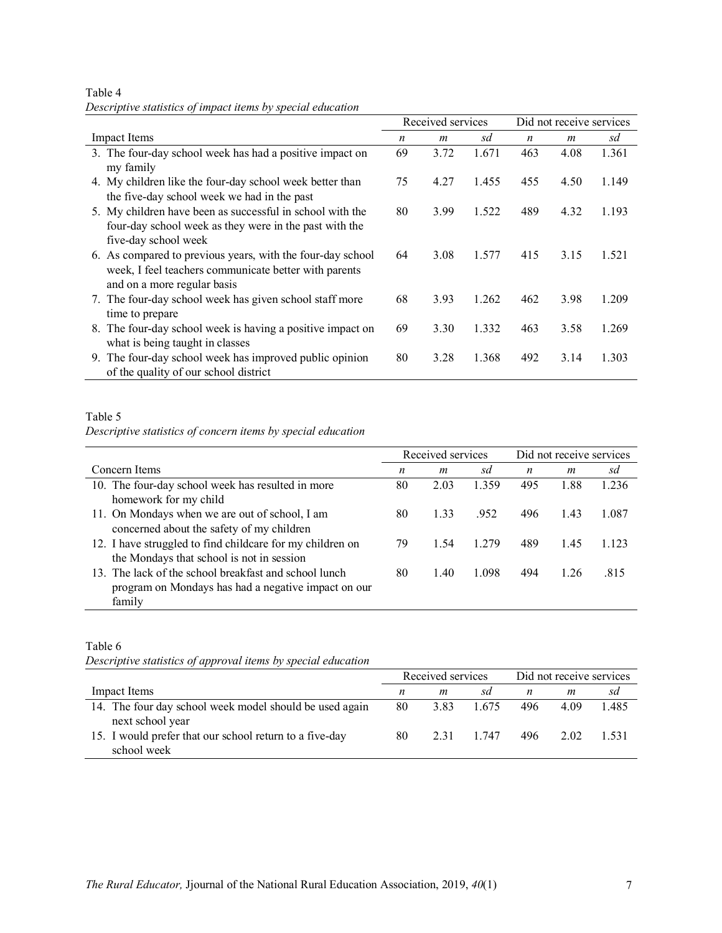| Descriptive statistics of impact items by special education                                                                                 |    |                   |       |                          |      |       |  |
|---------------------------------------------------------------------------------------------------------------------------------------------|----|-------------------|-------|--------------------------|------|-------|--|
|                                                                                                                                             |    | Received services |       | Did not receive services |      |       |  |
| <b>Impact Items</b>                                                                                                                         | n  | m                 | sd    | n                        | m    | sd    |  |
| 3. The four-day school week has had a positive impact on<br>my family                                                                       | 69 | 3.72              | 1.671 | 463                      | 4.08 | 1.361 |  |
| 4. My children like the four-day school week better than<br>the five-day school week we had in the past                                     | 75 | 4.27              | 1.455 | 455                      | 4.50 | 1.149 |  |
| 5. My children have been as successful in school with the<br>four-day school week as they were in the past with the<br>five-day school week | 80 | 3.99              | 1.522 | 489                      | 4.32 | 1.193 |  |
| 6. As compared to previous years, with the four-day school<br>week, I feel teachers communicate better with parents<br>$\cdots$             | 64 | 3.08              | 1.577 | 415                      | 3.15 | 1.521 |  |

Table 4 *Descriptive statistics of impact items by special education*

| 5. My children have been as successful in school with the  | 80 | 3.99 | 1.522 | 489 | 4.32 | 1 1 9 3 |
|------------------------------------------------------------|----|------|-------|-----|------|---------|
| four-day school week as they were in the past with the     |    |      |       |     |      |         |
| five-day school week                                       |    |      |       |     |      |         |
| 6. As compared to previous years, with the four-day school | 64 | 3.08 | 1.577 | 415 | 3.15 | 1.521   |
| week, I feel teachers communicate better with parents      |    |      |       |     |      |         |
| and on a more regular basis                                |    |      |       |     |      |         |
| 7. The four-day school week has given school staff more    | 68 | 3.93 | 1.262 | 462 | 3.98 | 1 209   |
| time to prepare                                            |    |      |       |     |      |         |
| 8. The four-day school week is having a positive impact on | 69 | 3.30 | 1.332 | 463 | 3.58 | 1 269   |
| what is being taught in classes                            |    |      |       |     |      |         |
| 9. The four-day school week has improved public opinion    | 80 | 3.28 | 1.368 | 492 | 3.14 | 1 303   |
| of the quality of our school district                      |    |      |       |     |      |         |

# Table 5

*Descriptive statistics of concern items by special education*

|                                                           |    | Received services |       | Did not receive services |                  |         |  |
|-----------------------------------------------------------|----|-------------------|-------|--------------------------|------------------|---------|--|
| Concern Items                                             | n  | m                 | sd    | n                        | $\boldsymbol{m}$ | sd      |  |
| 10. The four-day school week has resulted in more         | 80 | 2.03              | 1.359 | 495                      | 1.88             | 1.236   |  |
| homework for my child                                     |    |                   |       |                          |                  |         |  |
| 11. On Mondays when we are out of school, I am            | 80 | 1.33              | .952  | 496                      | 1.43             | 1.087   |  |
| concerned about the safety of my children                 |    |                   |       |                          |                  |         |  |
| 12. I have struggled to find childcare for my children on | 79 | 1.54              | 1 279 | 489                      | 1.45             | 1 1 2 3 |  |
| the Mondays that school is not in session                 |    |                   |       |                          |                  |         |  |
| 13. The lack of the school breakfast and school lunch     | 80 | 1.40              | 1.098 | 494                      | 1.26             | .815    |  |
| program on Mondays has had a negative impact on our       |    |                   |       |                          |                  |         |  |
| family                                                    |    |                   |       |                          |                  |         |  |

# Table 6

*Descriptive statistics of approval items by special education*

|                                                                             | Received services |      |       | Did not receive services |      |       |  |
|-----------------------------------------------------------------------------|-------------------|------|-------|--------------------------|------|-------|--|
| Impact Items                                                                | n                 | m    | sd    | n                        | m    | sd    |  |
| 14. The four day school week model should be used again<br>next school year | 80                | 3.83 | 1.675 | 496                      | 4.09 | 1.485 |  |
| 15. I would prefer that our school return to a five-day<br>school week      | 80                | 2.31 | 1 747 | 496                      | 2.02 | 1.531 |  |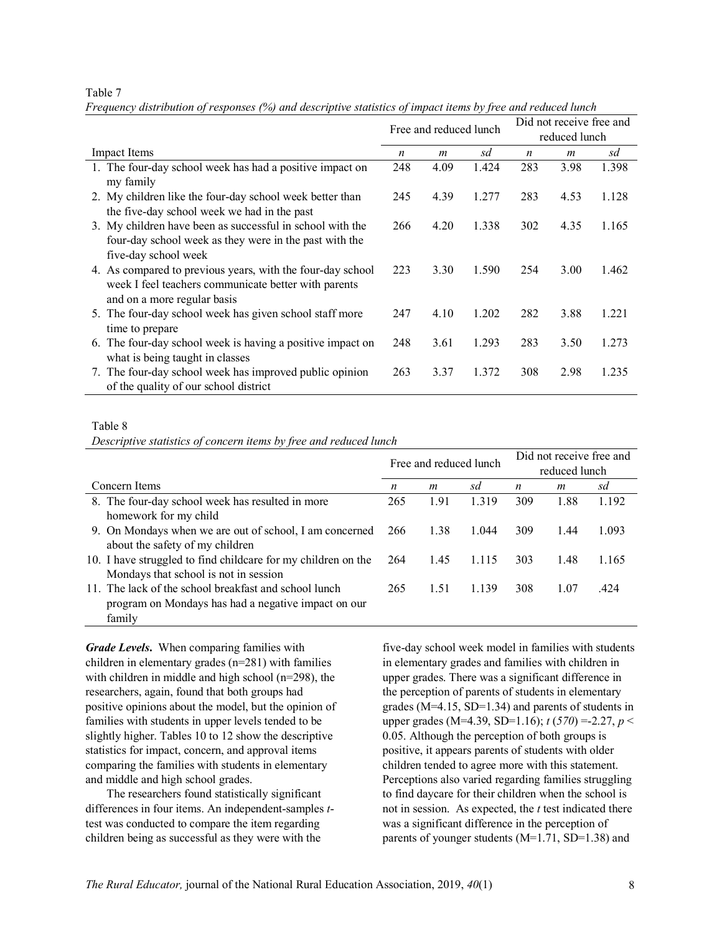#### Table 7

|                                                                                                                                                   | Free and reduced lunch |                  |       |     | Did not receive free and<br>reduced lunch |       |
|---------------------------------------------------------------------------------------------------------------------------------------------------|------------------------|------------------|-------|-----|-------------------------------------------|-------|
| <b>Impact Items</b>                                                                                                                               | n                      | $\boldsymbol{m}$ | sd    | n   | $\boldsymbol{m}$                          | sd    |
| 1. The four-day school week has had a positive impact on<br>my family                                                                             | 248                    | 4.09             | 1.424 | 283 | 3.98                                      | 1.398 |
| 2. My children like the four-day school week better than<br>the five-day school week we had in the past                                           | 245                    | 4.39             | 1.277 | 283 | 4.53                                      | 1.128 |
| 3. My children have been as successful in school with the<br>four-day school week as they were in the past with the<br>five-day school week       | 266                    | 4.20             | 1.338 | 302 | 4.35                                      | 1.165 |
| 4. As compared to previous years, with the four-day school<br>week I feel teachers communicate better with parents<br>and on a more regular basis | 223                    | 3.30             | 1.590 | 254 | 3.00                                      | 1.462 |
| 5. The four-day school week has given school staff more<br>time to prepare                                                                        | 247                    | 4.10             | 1.202 | 282 | 3.88                                      | 1.221 |
| 6. The four-day school week is having a positive impact on<br>what is being taught in classes                                                     | 248                    | 3.61             | 1.293 | 283 | 3.50                                      | 1.273 |
| 7. The four-day school week has improved public opinion<br>of the quality of our school district                                                  | 263                    | 3.37             | 1.372 | 308 | 2.98                                      | 1.235 |

*Frequency distribution of responses (%) and descriptive statistics of impact items by free and reduced lunch*

#### Table 8

*Descriptive statistics of concern items by free and reduced lunch*

|                                                               | Free and reduced lunch |      |         | Did not receive free and<br>reduced lunch |      |       |  |
|---------------------------------------------------------------|------------------------|------|---------|-------------------------------------------|------|-------|--|
| Concern Items                                                 | n                      | m    | sd      | n                                         | m    | sd    |  |
| 8. The four-day school week has resulted in more              | 265                    | 1.91 | 1.319   | 309                                       | 1.88 | 1.192 |  |
| homework for my child                                         |                        |      |         |                                           |      |       |  |
| 9. On Mondays when we are out of school, I am concerned       | 266                    | 1.38 | 1.044   | 309                                       | 1.44 | 1.093 |  |
| about the safety of my children                               |                        |      |         |                                           |      |       |  |
| 10. I have struggled to find childcare for my children on the | 264                    | 1.45 | 1.115   | 303                                       | 1.48 | 1.165 |  |
| Mondays that school is not in session                         |                        |      |         |                                           |      |       |  |
| 11. The lack of the school breakfast and school lunch         | 265                    | 1.51 | 1 1 3 9 | 308                                       | 1.07 | .424  |  |
| program on Mondays has had a negative impact on our           |                        |      |         |                                           |      |       |  |
| family                                                        |                        |      |         |                                           |      |       |  |

*Grade Levels***.** When comparing families with children in elementary grades (n=281) with families with children in middle and high school (n=298), the researchers, again, found that both groups had positive opinions about the model, but the opinion of families with students in upper levels tended to be slightly higher. Tables 10 to 12 show the descriptive statistics for impact, concern, and approval items comparing the families with students in elementary and middle and high school grades.

The researchers found statistically significant differences in four items. An independent-samples *t*test was conducted to compare the item regarding children being as successful as they were with the

five-day school week model in families with students in elementary grades and families with children in upper grades. There was a significant difference in the perception of parents of students in elementary grades (M=4.15, SD=1.34) and parents of students in upper grades (M=4.39, SD=1.16); *t* (*570*) =-2.27, *p* < 0.05. Although the perception of both groups is positive, it appears parents of students with older children tended to agree more with this statement. Perceptions also varied regarding families struggling to find daycare for their children when the school is not in session. As expected, the *t* test indicated there was a significant difference in the perception of parents of younger students (M=1.71, SD=1.38) and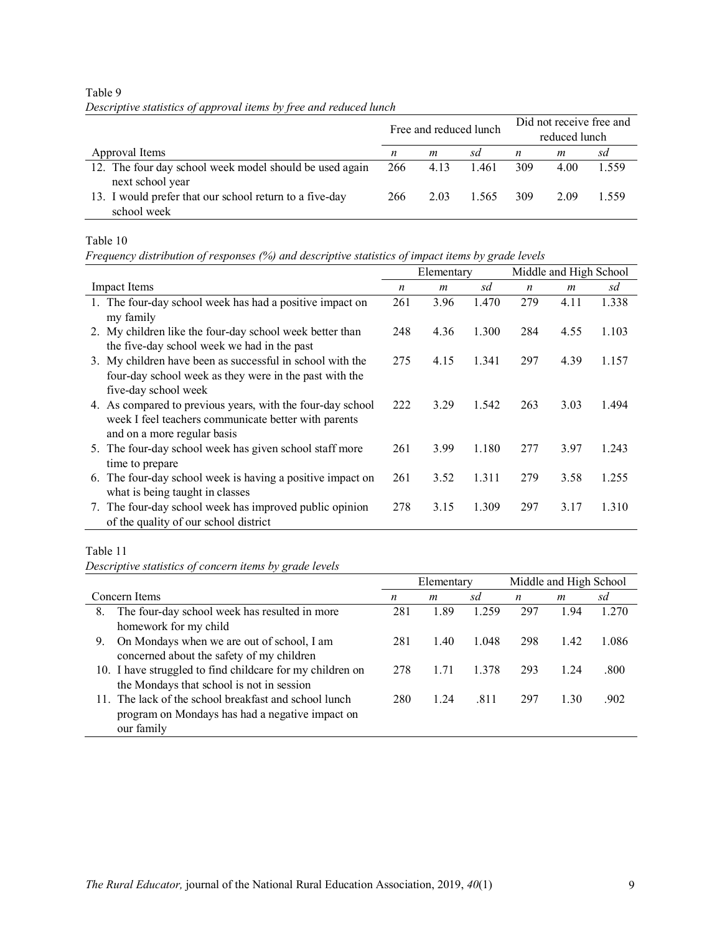| $\mathcal{L}$ $\mathcal{L}$                             |     |      | Free and reduced lunch | Did not receive free and<br>reduced lunch |      |       |  |  |
|---------------------------------------------------------|-----|------|------------------------|-------------------------------------------|------|-------|--|--|
| Approval Items                                          | n   | m    | sd                     | n                                         | m    | sd    |  |  |
| 12. The four day school week model should be used again | 266 | 4.13 | 1.461                  | 309                                       | 4.00 | 1.559 |  |  |
| next school year                                        |     |      |                        |                                           |      |       |  |  |
| 13. I would prefer that our school return to a five-day | 266 | 2.03 | 1.565                  | 309                                       | 2.09 | 1.559 |  |  |
| school week                                             |     |      |                        |                                           |      |       |  |  |

# Table 9 *Descriptive statistics of approval items by free and reduced lunch*

Table 10

*Frequency distribution of responses (%) and descriptive statistics of impact items by grade levels*

|                                                              |     | Elementary       |       |                  | Middle and High School |       |  |  |
|--------------------------------------------------------------|-----|------------------|-------|------------------|------------------------|-------|--|--|
| <b>Impact Items</b>                                          | n   | $\boldsymbol{m}$ | sd    | $\boldsymbol{n}$ | $\boldsymbol{m}$       | sd    |  |  |
| 1. The four-day school week has had a positive impact on     | 261 | 3.96             | 1.470 | 279              | 4.11                   | 1.338 |  |  |
| my family                                                    |     |                  |       |                  |                        |       |  |  |
| 2. My children like the four-day school week better than     | 248 | 4.36             | 1.300 | 284              | 4.55                   | 1.103 |  |  |
| the five-day school week we had in the past                  |     |                  |       |                  |                        |       |  |  |
| My children have been as successful in school with the<br>3. | 275 | 4.15             | 1.341 | 297              | 4.39                   | 1.157 |  |  |
| four-day school week as they were in the past with the       |     |                  |       |                  |                        |       |  |  |
| five-day school week                                         |     |                  |       |                  |                        |       |  |  |
| 4. As compared to previous years, with the four-day school   | 222 | 3.29             | 1.542 | 263              | 3.03                   | 1.494 |  |  |
| week I feel teachers communicate better with parents         |     |                  |       |                  |                        |       |  |  |
| and on a more regular basis                                  |     |                  |       |                  |                        |       |  |  |
| 5. The four-day school week has given school staff more      | 261 | 3.99             | 1.180 | 277              | 3.97                   | 1.243 |  |  |
| time to prepare                                              |     |                  |       |                  |                        |       |  |  |
| 6. The four-day school week is having a positive impact on   | 261 | 3.52             | 1.311 | 279              | 3.58                   | 1.255 |  |  |
| what is being taught in classes                              |     |                  |       |                  |                        |       |  |  |
| The four-day school week has improved public opinion<br>7.   | 278 | 3.15             | 1.309 | 297              | 3.17                   | 1.310 |  |  |
| of the quality of our school district                        |     |                  |       |                  |                        |       |  |  |

### Table 11

*Descriptive statistics of concern items by grade levels*

|                                                           |     | Elementary |       | Middle and High School |      |       |  |
|-----------------------------------------------------------|-----|------------|-------|------------------------|------|-------|--|
| Concern Items                                             | n   | m          | sd    | n                      | m    | sd    |  |
| The four-day school week has resulted in more<br>8.       | 281 | 1.89       | 1.259 | 297                    | 1.94 | 1.270 |  |
| homework for my child                                     |     |            |       |                        |      |       |  |
| On Mondays when we are out of school, I am<br>9.          | 281 | 1.40       | 1.048 | 298                    | 1.42 | 1.086 |  |
| concerned about the safety of my children                 |     |            |       |                        |      |       |  |
| 10. I have struggled to find childcare for my children on | 278 | 1.71       | 1 378 | 293                    | 1.24 | .800  |  |
| the Mondays that school is not in session                 |     |            |       |                        |      |       |  |
| 11. The lack of the school breakfast and school lunch     | 280 | 1.24       | .811  | 297                    | 1.30 | .902  |  |
| program on Mondays has had a negative impact on           |     |            |       |                        |      |       |  |
| our family                                                |     |            |       |                        |      |       |  |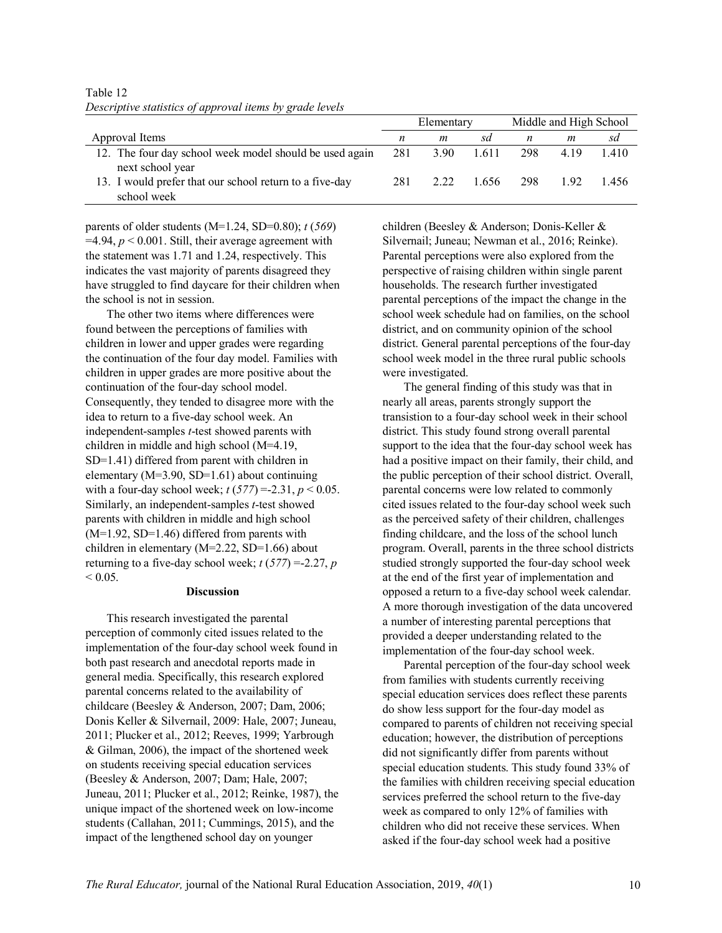|                                                         | Elementary |      |       | Middle and High School |      |      |
|---------------------------------------------------------|------------|------|-------|------------------------|------|------|
| Approval Items                                          | n          | m    | sd    | n                      | m    | sd   |
| 12. The four day school week model should be used again | 281        | 3.90 | 1.611 | 298                    | 4.19 | 1410 |
| next school year                                        |            |      |       |                        |      |      |
| 13. I would prefer that our school return to a five-day | 281        | 2.22 |       | 1656 298               | 192  | 1456 |
| school week                                             |            |      |       |                        |      |      |

Table 12 *Descriptive statistics of approval items by grade levels*

parents of older students (M=1.24, SD=0.80); *t* (*569*)  $=4.94$ ,  $p < 0.001$ . Still, their average agreement with the statement was 1.71 and 1.24, respectively. This indicates the vast majority of parents disagreed they have struggled to find daycare for their children when the school is not in session.

The other two items where differences were found between the perceptions of families with children in lower and upper grades were regarding the continuation of the four day model. Families with children in upper grades are more positive about the continuation of the four-day school model. Consequently, they tended to disagree more with the idea to return to a five-day school week. An independent-samples *t*-test showed parents with children in middle and high school (M=4.19, SD=1.41) differed from parent with children in elementary (M=3.90, SD=1.61) about continuing with a four-day school week;  $t(577) = -2.31$ ,  $p < 0.05$ . Similarly, an independent-samples *t*-test showed parents with children in middle and high school  $(M=1.92, SD=1.46)$  differed from parents with children in elementary (M=2.22, SD=1.66) about returning to a five-day school week;  $t(577) = -2.27$ , *p*  $< 0.05$ .

#### **Discussion**

This research investigated the parental perception of commonly cited issues related to the implementation of the four-day school week found in both past research and anecdotal reports made in general media. Specifically, this research explored parental concerns related to the availability of childcare (Beesley & Anderson, 2007; Dam, 2006; Donis Keller & Silvernail, 2009: Hale, 2007; Juneau, 2011; Plucker et al., 2012; Reeves, 1999; Yarbrough & Gilman, 2006), the impact of the shortened week on students receiving special education services (Beesley & Anderson, 2007; Dam; Hale, 2007; Juneau, 2011; Plucker et al., 2012; Reinke, 1987), the unique impact of the shortened week on low-income students (Callahan, 2011; Cummings, 2015), and the impact of the lengthened school day on younger

children (Beesley & Anderson; Donis-Keller & Silvernail; Juneau; Newman et al., 2016; Reinke). Parental perceptions were also explored from the perspective of raising children within single parent households. The research further investigated parental perceptions of the impact the change in the school week schedule had on families, on the school district, and on community opinion of the school district. General parental perceptions of the four-day school week model in the three rural public schools were investigated.

The general finding of this study was that in nearly all areas, parents strongly support the transistion to a four-day school week in their school district. This study found strong overall parental support to the idea that the four-day school week has had a positive impact on their family, their child, and the public perception of their school district. Overall, parental concerns were low related to commonly cited issues related to the four-day school week such as the perceived safety of their children, challenges finding childcare, and the loss of the school lunch program. Overall, parents in the three school districts studied strongly supported the four-day school week at the end of the first year of implementation and opposed a return to a five-day school week calendar. A more thorough investigation of the data uncovered a number of interesting parental perceptions that provided a deeper understanding related to the implementation of the four-day school week.

Parental perception of the four-day school week from families with students currently receiving special education services does reflect these parents do show less support for the four-day model as compared to parents of children not receiving special education; however, the distribution of perceptions did not significantly differ from parents without special education students. This study found 33% of the families with children receiving special education services preferred the school return to the five-day week as compared to only 12% of families with children who did not receive these services. When asked if the four-day school week had a positive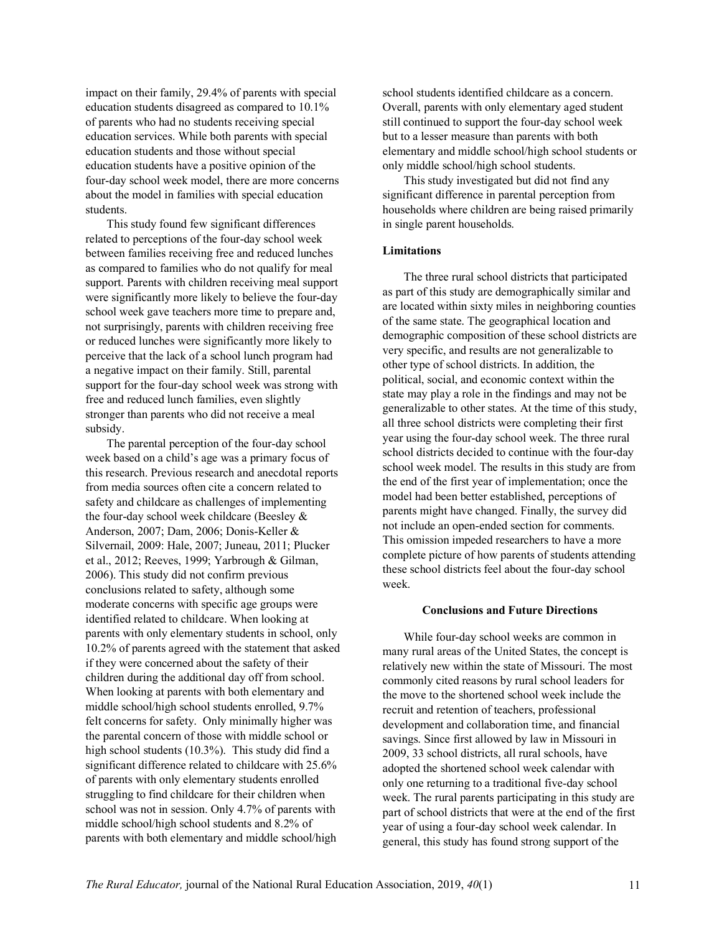impact on their family, 29.4% of parents with special education students disagreed as compared to 10.1% of parents who had no students receiving special education services. While both parents with special education students and those without special education students have a positive opinion of the four-day school week model, there are more concerns about the model in families with special education students.

This study found few significant differences related to perceptions of the four-day school week between families receiving free and reduced lunches as compared to families who do not qualify for meal support. Parents with children receiving meal support were significantly more likely to believe the four-day school week gave teachers more time to prepare and, not surprisingly, parents with children receiving free or reduced lunches were significantly more likely to perceive that the lack of a school lunch program had a negative impact on their family. Still, parental support for the four-day school week was strong with free and reduced lunch families, even slightly stronger than parents who did not receive a meal subsidy.

The parental perception of the four-day school week based on a child's age was a primary focus of this research. Previous research and anecdotal reports from media sources often cite a concern related to safety and childcare as challenges of implementing the four-day school week childcare (Beesley & Anderson, 2007; Dam, 2006; Donis-Keller & Silvernail, 2009: Hale, 2007; Juneau, 2011; Plucker et al., 2012; Reeves, 1999; Yarbrough & Gilman, 2006). This study did not confirm previous conclusions related to safety, although some moderate concerns with specific age groups were identified related to childcare. When looking at parents with only elementary students in school, only 10.2% of parents agreed with the statement that asked if they were concerned about the safety of their children during the additional day off from school. When looking at parents with both elementary and middle school/high school students enrolled, 9.7% felt concerns for safety. Only minimally higher was the parental concern of those with middle school or high school students (10.3%). This study did find a significant difference related to childcare with 25.6% of parents with only elementary students enrolled struggling to find childcare for their children when school was not in session. Only 4.7% of parents with middle school/high school students and 8.2% of parents with both elementary and middle school/high

school students identified childcare as a concern. Overall, parents with only elementary aged student still continued to support the four-day school week but to a lesser measure than parents with both elementary and middle school/high school students or only middle school/high school students.

This study investigated but did not find any significant difference in parental perception from households where children are being raised primarily in single parent households.

#### **Limitations**

The three rural school districts that participated as part of this study are demographically similar and are located within sixty miles in neighboring counties of the same state. The geographical location and demographic composition of these school districts are very specific, and results are not generalizable to other type of school districts. In addition, the political, social, and economic context within the state may play a role in the findings and may not be generalizable to other states. At the time of this study, all three school districts were completing their first year using the four-day school week. The three rural school districts decided to continue with the four-day school week model. The results in this study are from the end of the first year of implementation; once the model had been better established, perceptions of parents might have changed. Finally, the survey did not include an open-ended section for comments. This omission impeded researchers to have a more complete picture of how parents of students attending these school districts feel about the four-day school week.

#### **Conclusions and Future Directions**

While four-day school weeks are common in many rural areas of the United States, the concept is relatively new within the state of Missouri. The most commonly cited reasons by rural school leaders for the move to the shortened school week include the recruit and retention of teachers, professional development and collaboration time, and financial savings. Since first allowed by law in Missouri in 2009, 33 school districts, all rural schools, have adopted the shortened school week calendar with only one returning to a traditional five-day school week. The rural parents participating in this study are part of school districts that were at the end of the first year of using a four-day school week calendar. In general, this study has found strong support of the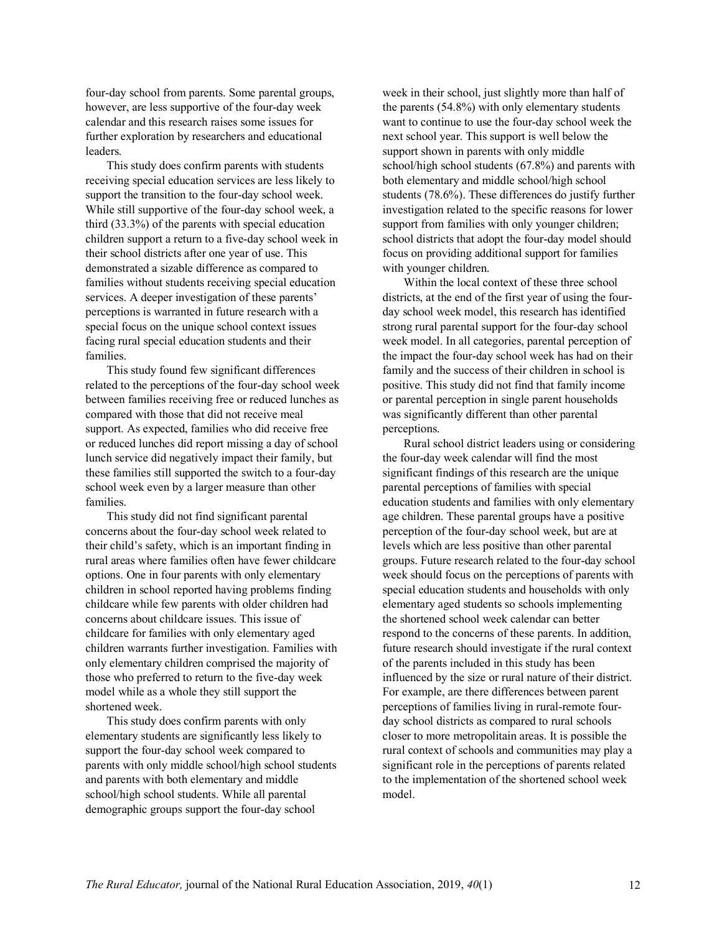four-day school from parents. Some parental groups, however, are less supportive of the four-day week calendar and this research raises some issues for further exploration by researchers and educational leaders.

This study does confirm parents with students receiving special education services are less likely to support the transition to the four-day school week. While still supportive of the four-day school week, a third (33.3%) of the parents with special education children support a return to a five-day school week in their school districts after one year of use. This demonstrated a sizable difference as compared to families without students receiving special education services. A deeper investigation of these parents' perceptions is warranted in future research with a special focus on the unique school context issues facing rural special education students and their families.

This study found few significant differences related to the perceptions of the four-day school week between families receiving free or reduced lunches as compared with those that did not receive meal support. As expected, families who did receive free or reduced lunches did report missing a day of school lunch service did negatively impact their family, but these families still supported the switch to a four-day school week even by a larger measure than other families.

This study did not find significant parental concerns about the four-day school week related to their child's safety, which is an important finding in rural areas where families often have fewer childcare options. One in four parents with only elementary children in school reported having problems finding childcare while few parents with older children had concerns about childcare issues. This issue of childcare for families with only elementary aged children warrants further investigation. Families with only elementary children comprised the majority of those who preferred to return to the five-day week model while as a whole they still support the shortened week.

This study does confirm parents with only elementary students are significantly less likely to support the four-day school week compared to parents with only middle school/high school students and parents with both elementary and middle school/high school students. While all parental demographic groups support the four-day school

week in their school, just slightly more than half of the parents (54.8%) with only elementary students want to continue to use the four-day school week the next school year. This support is well below the support shown in parents with only middle school/high school students (67.8%) and parents with both elementary and middle school/high school students (78.6%). These differences do justify further investigation related to the specific reasons for lower support from families with only younger children; school districts that adopt the four-day model should focus on providing additional support for families with younger children.

Within the local context of these three school districts, at the end of the first year of using the fourday school week model, this research has identified strong rural parental support for the four-day school week model. In all categories, parental perception of the impact the four-day school week has had on their family and the success of their children in school is positive. This study did not find that family income or parental perception in single parent households was significantly different than other parental perceptions.

Rural school district leaders using or considering the four-day week calendar will find the most significant findings of this research are the unique parental perceptions of families with special education students and families with only elementary age children. These parental groups have a positive perception of the four-day school week, but are at levels which are less positive than other parental groups. Future research related to the four-day school week should focus on the perceptions of parents with special education students and households with only elementary aged students so schools implementing the shortened school week calendar can better respond to the concerns of these parents. In addition, future research should investigate if the rural context of the parents included in this study has been influenced by the size or rural nature of their district. For example, are there differences between parent perceptions of families living in rural-remote fourday school districts as compared to rural schools closer to more metropolitain areas. It is possible the rural context of schools and communities may play a significant role in the perceptions of parents related to the implementation of the shortened school week model.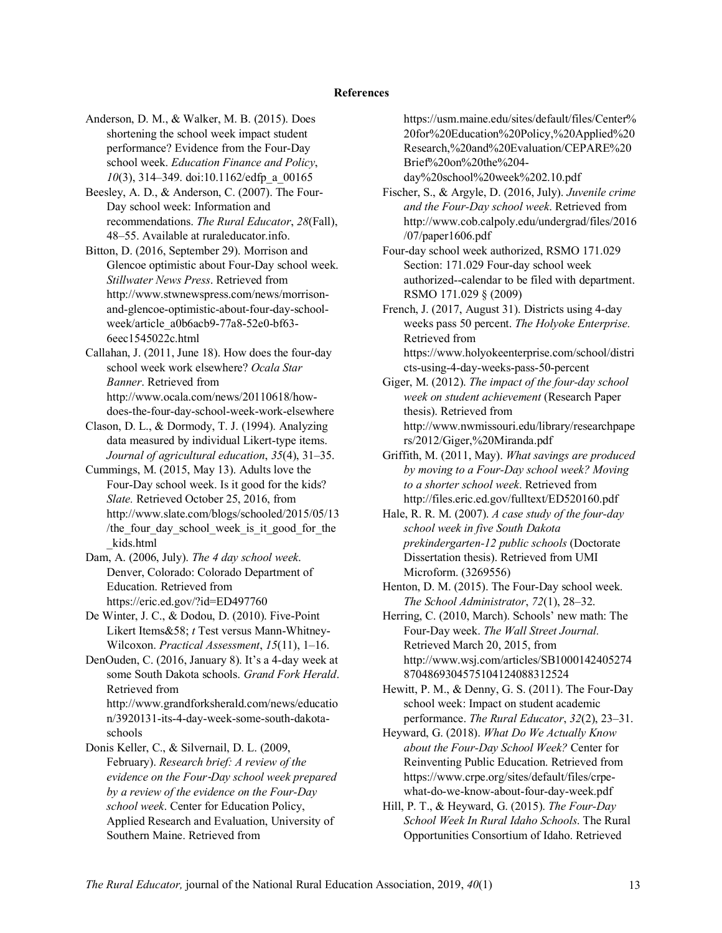#### **References**

- Anderson, D. M., & Walker, M. B. (2015). Does shortening the school week impact student performance? Evidence from the Four-Day school week. *Education Finance and Policy*, *10*(3), 314–349. doi:10.1162/edfp\_a\_00165
- Beesley, A. D., & Anderson, C. (2007). The Four-Day school week: Information and recommendations. *The Rural Educator*, *28*(Fall), 48–55. Available at ruraleducator.info.
- Bitton, D. (2016, September 29). Morrison and Glencoe optimistic about Four-Day school week. *Stillwater News Press*. Retrieved from http://www.stwnewspress.com/news/morrisonand-glencoe-optimistic-about-four-day-schoolweek/article\_a0b6acb9-77a8-52e0-bf63- 6eec1545022c.html
- Callahan, J. (2011, June 18). How does the four-day school week work elsewhere? *Ocala Star Banner*. Retrieved from http://www.ocala.com/news/20110618/howdoes-the-four-day-school-week-work-elsewhere
- Clason, D. L., & Dormody, T. J. (1994). Analyzing data measured by individual Likert-type items. *Journal of agricultural education*, *35*(4), 31–35.
- Cummings, M. (2015, May 13). Adults love the Four-Day school week. Is it good for the kids? *Slate.* Retrieved October 25, 2016, from http://www.slate.com/blogs/schooled/2015/05/13 /the four day school week is it good for the \_kids.html
- Dam, A. (2006, July). *The 4 day school week*. Denver, Colorado: Colorado Department of Education. Retrieved from https://eric.ed.gov/?id=ED497760
- De Winter, J. C., & Dodou, D. (2010). Five-Point Likert Items&58; *t* Test versus Mann-Whitney-Wilcoxon. *Practical Assessment*, *15*(11), 1–16.
- DenOuden, C. (2016, January 8). It's a 4-day week at some South Dakota schools. *Grand Fork Herald*. Retrieved from http://www.grandforksherald.com/news/educatio n/3920131-its-4-day-week-some-south-dakota-
- schools Donis Keller, C., & Silvernail, D. L. (2009, February). *Research brief: A review of the evidence on the Four*-*Day school week prepared by a review of the evidence on the Four-Day school week*. Center for Education Policy, Applied Research and Evaluation, University of Southern Maine. Retrieved from

https://usm.maine.edu/sites/default/files/Center% 20for%20Education%20Policy,%20Applied%20 Research,%20and%20Evaluation/CEPARE%20 Brief%20on%20the%204-

day%20school%20week%202.10.pdf

- Fischer, S., & Argyle, D. (2016, July). *Juvenile crime and the Four-Day school week*. Retrieved from http://www.cob.calpoly.edu/undergrad/files/2016 /07/paper1606.pdf
- Four-day school week authorized, RSMO 171.029 Section: 171.029 Four-day school week authorized--calendar to be filed with department. RSMO 171.029 § (2009)
- French, J. (2017, August 31). Districts using 4-day weeks pass 50 percent. *The Holyoke Enterprise.*  Retrieved from https://www.holyokeenterprise.com/school/distri cts-using-4-day-weeks-pass-50-percent
- Giger, M. (2012). *The impact of the four-day school week on student achievement* (Research Paper thesis). Retrieved from http://www.nwmissouri.edu/library/researchpape rs/2012/Giger,%20Miranda.pdf
- Griffith, M. (2011, May). *What savings are produced by moving to a Four-Day school week? Moving to a shorter school week*. Retrieved from http://files.eric.ed.gov/fulltext/ED520160.pdf
- Hale, R. R. M. (2007). *A case study of the four-day school week in five South Dakota prekindergarten-12 public schools* (Doctorate Dissertation thesis). Retrieved from UMI Microform. (3269556)
- Henton, D. M. (2015). The Four-Day school week. *The School Administrator*, *72*(1), 28–32.
- Herring, C. (2010, March). Schools' new math: The Four-Day week. *The Wall Street Journal.* Retrieved March 20, 2015, from http://www.wsj.com/articles/SB1000142405274 8704869304575104124088312524
- Hewitt, P. M., & Denny, G. S. (2011). The Four-Day school week: Impact on student academic performance. *The Rural Educator*, *32*(2), 23–31.
- Heyward, G. (2018). *What Do We Actually Know about the Four-Day School Week?* Center for Reinventing Public Education. Retrieved from https://www.crpe.org/sites/default/files/crpewhat-do-we-know-about-four-day-week.pdf
- Hill, P. T., & Heyward, G. (2015). *The Four-Day School Week In Rural Idaho Schools*. The Rural Opportunities Consortium of Idaho. Retrieved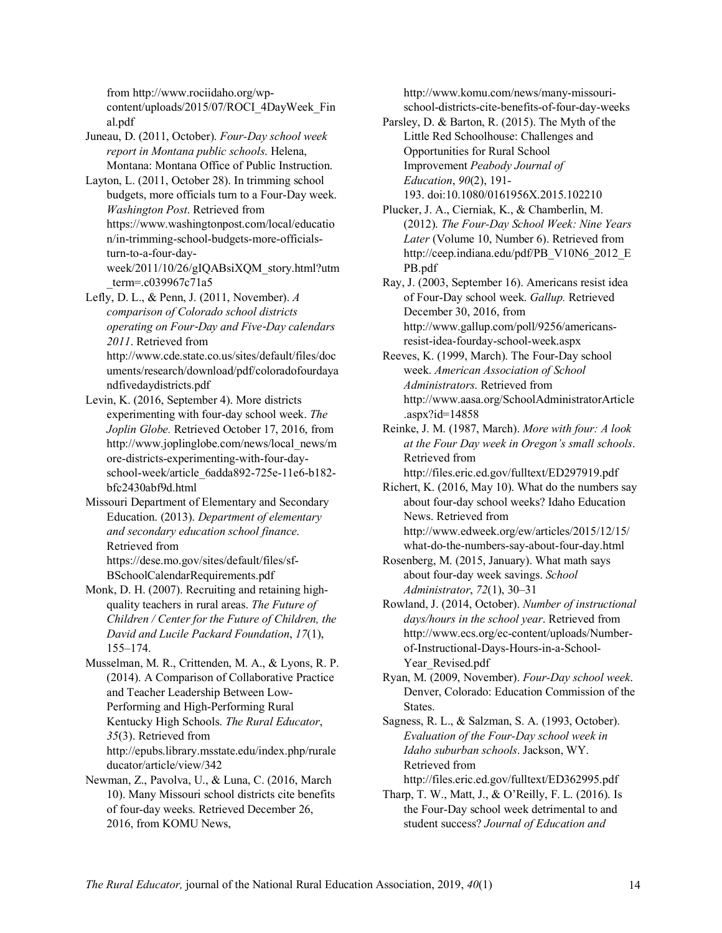from http://www.rociidaho.org/wpcontent/uploads/2015/07/ROCI\_4DayWeek\_Fin al.pdf

Juneau, D. (2011, October). *Four-Day school week report in Montana public schools*. Helena, Montana: Montana Office of Public Instruction.

Layton, L. (2011, October 28). In trimming school budgets, more officials turn to a Four-Day week. *Washington Post*. Retrieved from https://www.washingtonpost.com/local/educatio n/in-trimming-school-budgets-more-officialsturn-to-a-four-dayweek/2011/10/26/gIQABsiXQM\_story.html?utm \_term=.c039967c71a5

Lefly, D. L., & Penn, J. (2011, November). *A comparison of Colorado school districts operating on Four*-*Day and Five*-*Day calendars 2011*. Retrieved from http://www.cde.state.co.us/sites/default/files/doc uments/research/download/pdf/coloradofourdaya

ndfivedaydistricts.pdf

Levin, K. (2016, September 4). More districts experimenting with four-day school week. *The Joplin Globe.* Retrieved October 17, 2016, from http://www.joplinglobe.com/news/local\_news/m ore-districts-experimenting-with-four-dayschool-week/article\_6adda892-725e-11e6-b182 bfc2430abf9d.html

Missouri Department of Elementary and Secondary Education. (2013). *Department of elementary and secondary education school finance*. Retrieved from https://dese.mo.gov/sites/default/files/sf-BSchoolCalendarRequirements.pdf

Monk, D. H. (2007). Recruiting and retaining highquality teachers in rural areas. *The Future of Children / Center for the Future of Children, the David and Lucile Packard Foundation*, *17*(1), 155–174.

Musselman, M. R., Crittenden, M. A., & Lyons, R. P. (2014). A Comparison of Collaborative Practice and Teacher Leadership Between Low-Performing and High-Performing Rural Kentucky High Schools. *The Rural Educator*, *35*(3). Retrieved from http://epubs.library.msstate.edu/index.php/rurale ducator/article/view/342

Newman, Z., Pavolva, U., & Luna, C. (2016, March 10). Many Missouri school districts cite benefits of four-day weeks. Retrieved December 26, 2016, from KOMU News,

http://www.komu.com/news/many-missourischool-districts-cite-benefits-of-four-day-weeks

Parsley, D. & Barton, R. (2015). The Myth of the Little Red Schoolhouse: Challenges and Opportunities for Rural School Improvement *Peabody Journal of Education*, *90*(2), 191- 193. doi:10.1080/0161956X.2015.102210

Plucker, J. A., Cierniak, K., & Chamberlin, M. (2012). *The Four-Day School Week: Nine Years Later* (Volume 10, Number 6). Retrieved from http://ceep.indiana.edu/pdf/PB\_V10N6\_2012\_E PB.pdf

Ray, J. (2003, September 16). Americans resist idea of Four-Day school week. *Gallup.* Retrieved December 30, 2016, from http://www.gallup.com/poll/9256/americansresist-idea-fourday-school-week.aspx

Reeves, K. (1999, March). The Four-Day school week. *American Association of School Administrators*. Retrieved from http://www.aasa.org/SchoolAdministratorArticle .aspx?id=14858

Reinke, J. M. (1987, March). *More with four: A look at the Four Day week in Oregon's small schools*. Retrieved from http://files.eric.ed.gov/fulltext/ED297919.pdf

Richert, K. (2016, May 10). What do the numbers say about four-day school weeks? Idaho Education News. Retrieved from http://www.edweek.org/ew/articles/2015/12/15/ what-do-the-numbers-say-about-four-day.html

Rosenberg, M. (2015, January). What math says about four-day week savings. *School Administrator*, *72*(1), 30–31

Rowland, J. (2014, October). *Number of instructional days/hours in the school year*. Retrieved from http://www.ecs.org/ec-content/uploads/Numberof-Instructional-Days-Hours-in-a-School-Year Revised.pdf

Ryan, M. (2009, November). *Four-Day school week*. Denver, Colorado: Education Commission of the States.

Sagness, R. L., & Salzman, S. A. (1993, October). *Evaluation of the Four-Day school week in Idaho suburban schools*. Jackson, WY. Retrieved from http://files.eric.ed.gov/fulltext/ED362995.pdf

Tharp, T. W., Matt, J., & O'Reilly, F. L. (2016). Is the Four-Day school week detrimental to and student success? *Journal of Education and*